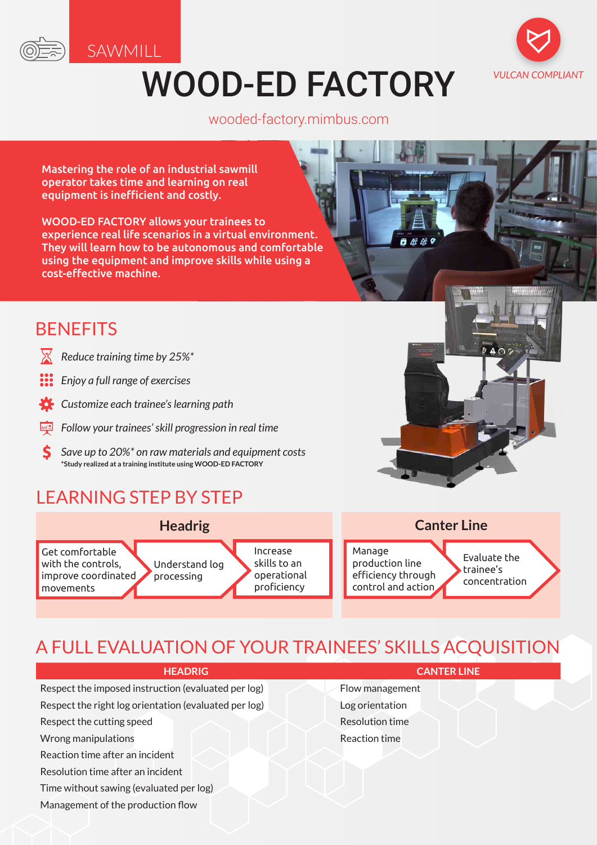

SAWMILL

# WOOD-ED FACTORY



wooded-factory.mimbus.com

自然感。

Mastering the role of an industrial sawmill operator takes time and learning on real equipment is inefficient and costly.

WOOD-ED FACTORY allows your trainees to experience real life scenarios in a virtual environment. They will learn how to be autonomous and comfortable using the equipment and improve skills while using a cost-effective machine.

## **BENEFITS**

- ✕ *Reduce training time by 25%\**
- *Enjoy a full range of exercises*
- *Customize each trainee's learning path*
- *Follow your trainees' skill progression in real time*
- S *Save up to 20%\* on raw materials and equipment costs* **\*Study realized at a training institute using WOOD-ED FACTORY**

# LEARNING STEP BY STEP



# A FULL EVALUATION OF YOUR TRAINEES' SKILLS ACQUISITION

| <b>HEADRIG</b>                                        | TER LINE.              |
|-------------------------------------------------------|------------------------|
| Respect the imposed instruction (evaluated per log)   | Flow management        |
| Respect the right log orientation (evaluated per log) | Log orientation        |
| Respect the cutting speed                             | <b>Resolution time</b> |
| Wrong manipulations                                   | Reaction time          |
| Reaction time after an incident                       |                        |
| Resolution time after an incident                     |                        |
| Time without sawing (evaluated per log)               |                        |
|                                                       |                        |

Management of the production flow